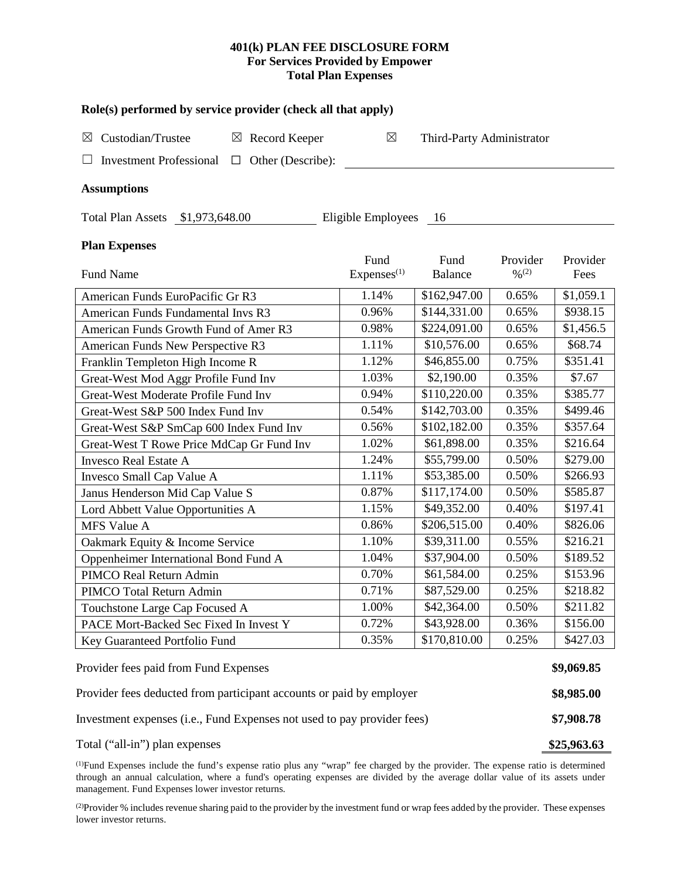# **401(k) PLAN FEE DISCLOSURE FORM For Services Provided by Empower Total Plan Expenses**

| Role(s) performed by service provider (check all that apply)            |                                |                           |                                          |                  |  |  |  |  |  |
|-------------------------------------------------------------------------|--------------------------------|---------------------------|------------------------------------------|------------------|--|--|--|--|--|
| Custodian/Trustee<br>$\boxtimes$ Record Keeper<br>⊠                     | $\boxtimes$                    | Third-Party Administrator |                                          |                  |  |  |  |  |  |
| <b>Investment Professional</b><br>Other (Describe):<br>$\Box$           |                                |                           |                                          |                  |  |  |  |  |  |
|                                                                         |                                |                           |                                          |                  |  |  |  |  |  |
| <b>Assumptions</b>                                                      |                                |                           |                                          |                  |  |  |  |  |  |
| Eligible Employees 16<br>Total Plan Assets \$1,973,648.00               |                                |                           |                                          |                  |  |  |  |  |  |
| <b>Plan Expenses</b>                                                    |                                |                           |                                          |                  |  |  |  |  |  |
| Fund Name                                                               | Fund<br>Express <sup>(1)</sup> | Fund<br>Balance           | Provider<br>$\frac{0}{2}$ <sup>(2)</sup> | Provider<br>Fees |  |  |  |  |  |
| American Funds EuroPacific Gr R3                                        | 1.14%                          | \$162,947.00              | 0.65%                                    | \$1,059.1        |  |  |  |  |  |
| American Funds Fundamental Invs R3                                      | 0.96%                          | \$144,331.00              | 0.65%                                    | \$938.15         |  |  |  |  |  |
| American Funds Growth Fund of Amer R3                                   | 0.98%                          | \$224,091.00              | 0.65%                                    | \$1,456.5        |  |  |  |  |  |
| American Funds New Perspective R3                                       | 1.11%                          | \$10,576.00               | 0.65%                                    | \$68.74          |  |  |  |  |  |
| Franklin Templeton High Income R                                        | 1.12%                          | \$46,855.00               | 0.75%                                    | \$351.41         |  |  |  |  |  |
| Great-West Mod Aggr Profile Fund Inv                                    | 1.03%                          | \$2,190.00                | 0.35%                                    | \$7.67           |  |  |  |  |  |
| Great-West Moderate Profile Fund Inv                                    | 0.94%                          | \$110,220.00              | 0.35%                                    | \$385.77         |  |  |  |  |  |
| Great-West S&P 500 Index Fund Inv                                       | 0.54%                          | \$142,703.00              | 0.35%                                    | \$499.46         |  |  |  |  |  |
| Great-West S&P SmCap 600 Index Fund Inv                                 | 0.56%                          | \$102,182.00              | 0.35%                                    | \$357.64         |  |  |  |  |  |
| Great-West T Rowe Price MdCap Gr Fund Inv                               | 1.02%                          | \$61,898.00               | 0.35%                                    | \$216.64         |  |  |  |  |  |
| <b>Invesco Real Estate A</b>                                            | 1.24%                          | \$55,799.00               | 0.50%                                    | \$279.00         |  |  |  |  |  |
| Invesco Small Cap Value A                                               | 1.11%                          | \$53,385.00               | 0.50%                                    | \$266.93         |  |  |  |  |  |
| Janus Henderson Mid Cap Value S                                         | 0.87%                          | \$117,174.00              | 0.50%                                    | \$585.87         |  |  |  |  |  |
| Lord Abbett Value Opportunities A                                       | 1.15%                          | \$49,352.00               | 0.40%                                    | \$197.41         |  |  |  |  |  |
| <b>MFS Value A</b>                                                      | 0.86%                          | \$206,515.00              | 0.40%                                    | \$826.06         |  |  |  |  |  |
| Oakmark Equity & Income Service                                         | 1.10%                          | \$39,311.00               | 0.55%                                    | \$216.21         |  |  |  |  |  |
| Oppenheimer International Bond Fund A                                   | 1.04%                          | \$37,904.00               | 0.50%                                    | \$189.52         |  |  |  |  |  |
| PIMCO Real Return Admin                                                 | 0.70%                          | \$61,584.00               | 0.25%                                    | \$153.96         |  |  |  |  |  |
| PIMCO Total Return Admin                                                | 0.71%                          | \$87,529.00               | 0.25%                                    | \$218.82         |  |  |  |  |  |
| Touchstone Large Cap Focused A                                          | 1.00%                          | \$42,364.00               | 0.50%                                    | \$211.82         |  |  |  |  |  |
| PACE Mort-Backed Sec Fixed In Invest Y                                  | 0.72%                          | \$43,928.00               | 0.36%                                    | \$156.00         |  |  |  |  |  |
| Key Guaranteed Portfolio Fund                                           | 0.35%                          | \$170,810.00              | 0.25%                                    | \$427.03         |  |  |  |  |  |
| Provider fees paid from Fund Expenses                                   |                                |                           |                                          |                  |  |  |  |  |  |
| Provider fees deducted from participant accounts or paid by employer    |                                |                           |                                          |                  |  |  |  |  |  |
| Investment expenses (i.e., Fund Expenses not used to pay provider fees) |                                |                           |                                          |                  |  |  |  |  |  |

Total ("all-in") plan expenses **\$25,963.63**

(1) Fund Expenses include the fund's expense ratio plus any "wrap" fee charged by the provider. The expense ratio is determined through an annual calculation, where a fund's operating expenses are divided by the average dollar value of its assets under management. Fund Expenses lower investor returns.

(2) Provider % includes revenue sharing paid to the provider by the investment fund or wrap fees added by the provider. These expenses lower investor returns.